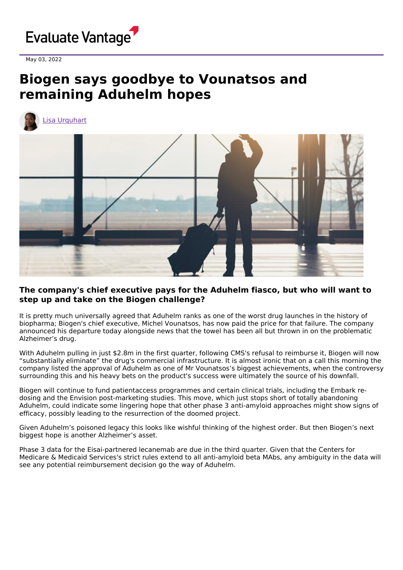

May 03, 2022

## **Biogen says goodbye to Vounatsos and remaining Aduhelm hopes**



Lisa [Urquhart](https://www.evaluate.com/vantage/editorial-team/lisa-urquhart)



## **The company's chief executive pays for the Aduhelm fiasco, but who will want to step up and take on the Biogen challenge?**

It is pretty much universally agreed that Aduhelm ranks as one of the worst drug launches in the history of biopharma; Biogen's chief executive, Michel Vounatsos, has now paid the price for that failure. The company announced his departure today alongside news that the towel has been all but thrown in on the problematic Alzheimer's drug.

With Aduhelm pulling in just \$2.8m in the first quarter, following CMS's refusal to reimburse it, Biogen will now "substantially eliminate" the drug's commercial infrastructure. It is almost ironic that on a call this morning the company listed the approval of Aduhelm as one of Mr Vounatsos's biggest achievements, when the controversy surrounding this and his heavy bets on the product's success were ultimately the source of his downfall.

Biogen will continue to fund patientaccess programmes and certain clinical trials, including the Embark redosing and the Envision post-marketing studies. This move, which just stops short of totally abandoning Aduhelm, could indicate some lingering hope that other phase 3 anti-amyloid approaches might show signs of efficacy, possibly leading to the resurrection of the doomed project.

Given Aduhelm's poisoned legacy this looks like wishful thinking of the highest order. But then Biogen's next biggest hope is another Alzheimer's asset.

Phase 3 data for the Eisai-partnered lecanemab are due in the third quarter. Given that the Centers for Medicare & Medicaid Services's strict rules extend to all anti-amyloid beta MAbs, any ambiguity in the data will see any potential reimbursement decision go the way of Aduhelm.